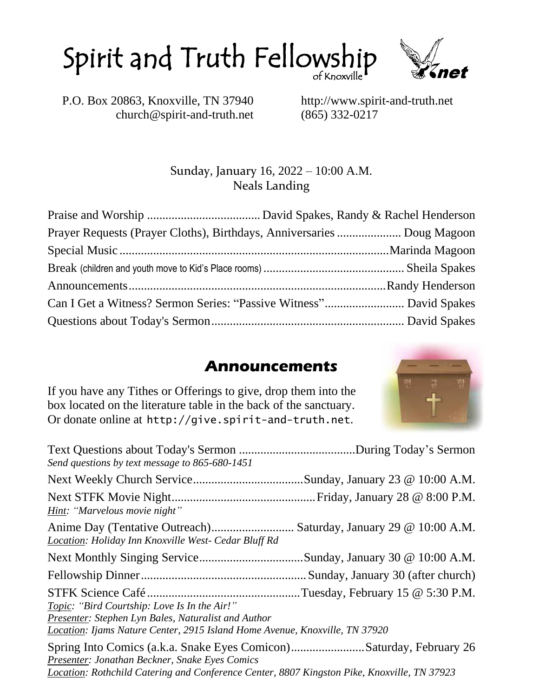of Knoxville Spirit and Truth Fellowship



P.O. Box 20863, Knoxville, TN 37940 http://www.spirit-and-truth.net church@spirit-and-truth.net (865) 332-0217

#### Sunday, January 16, 2022 – 10:00 A.M. Neals Landing

## **Announcements**

If you have any Tithes or Offerings to give, drop them into the box located on the literature table in the back of the sanctuary. Or donate online at http://give.spirit-and-truth.net.

| Send questions by text message to 865-680-1451                                                                                                     |  |
|----------------------------------------------------------------------------------------------------------------------------------------------------|--|
|                                                                                                                                                    |  |
| Hint: "Marvelous movie night"                                                                                                                      |  |
| Location: Holiday Inn Knoxville West- Cedar Bluff Rd                                                                                               |  |
| Next Monthly Singing ServiceSunday, January 30 @ 10:00 A.M.                                                                                        |  |
|                                                                                                                                                    |  |
| Topic: "Bird Courtship: Love Is In the Air!"<br>Presenter: Stephen Lyn Bales, Naturalist and Author                                                |  |
| Location: Ijams Nature Center, 2915 Island Home Avenue, Knoxville, TN 37920<br>Spring Into Comics (a.k.a. Snake Eyes Comicon)Saturday, February 26 |  |
| Presenter: Jonathan Beckner, Snake Eyes Comics<br>Location: Rothchild Catering and Conference Center, 8807 Kingston Pike, Knoxville, TN 37923      |  |
|                                                                                                                                                    |  |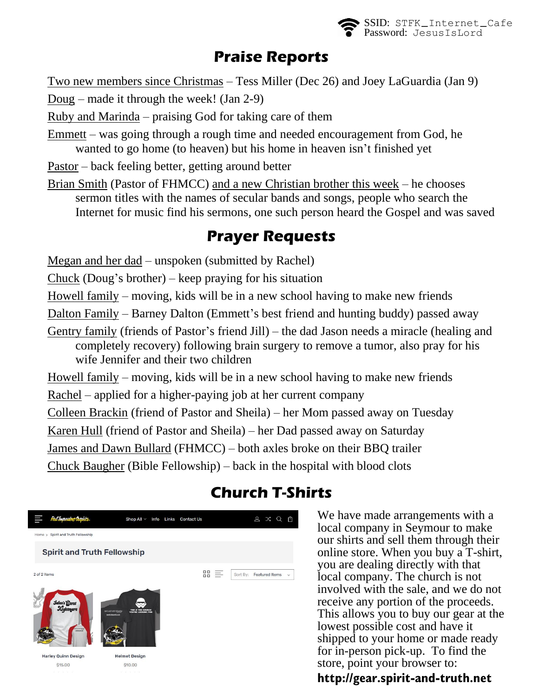

## **Praise Reports**

Two new members since Christmas – Tess Miller (Dec 26) and Joey LaGuardia (Jan 9)

Doug – made it through the week! (Jan 2-9)

Ruby and Marinda – praising God for taking care of them

Emmett – was going through a rough time and needed encouragement from God, he wanted to go home (to heaven) but his home in heaven isn't finished yet

Pastor – back feeling better, getting around better

Brian Smith (Pastor of FHMCC) and a new Christian brother this week – he chooses sermon titles with the names of secular bands and songs, people who search the Internet for music find his sermons, one such person heard the Gospel and was saved

## **Prayer Requests**

Megan and her dad – unspoken (submitted by Rachel) Chuck (Doug's brother) – keep praying for his situation Howell family – moving, kids will be in a new school having to make new friends Dalton Family – Barney Dalton (Emmett's best friend and hunting buddy) passed away Gentry family (friends of Pastor's friend Jill) – the dad Jason needs a miracle (healing and completely recovery) following brain surgery to remove a tumor, also pray for his wife Jennifer and their two children Howell family – moving, kids will be in a new school having to make new friends Rachel – applied for a higher-paying job at her current company Colleen Brackin (friend of Pastor and Sheila) – her Mom passed away on Tuesday Karen Hull (friend of Pastor and Sheila) – her Dad passed away on Saturday

James and Dawn Bullard (FHMCC) – both axles broke on their BBQ trailer

Chuck Baugher (Bible Fellowship) – back in the hospital with blood clots

## **Church T-Shirts**



We have made arrangements with a local company in Seymour to make our shirts and sell them through their online store. When you buy a T-shirt, you are dealing directly with that local company. The church is not involved with the sale, and we do not receive any portion of the proceeds. This allows you to buy our gear at the lowest possible cost and have it shipped to your home or made ready for in-person pick-up. To find the store, point your browser to: **http://gear.spirit-and-truth.net**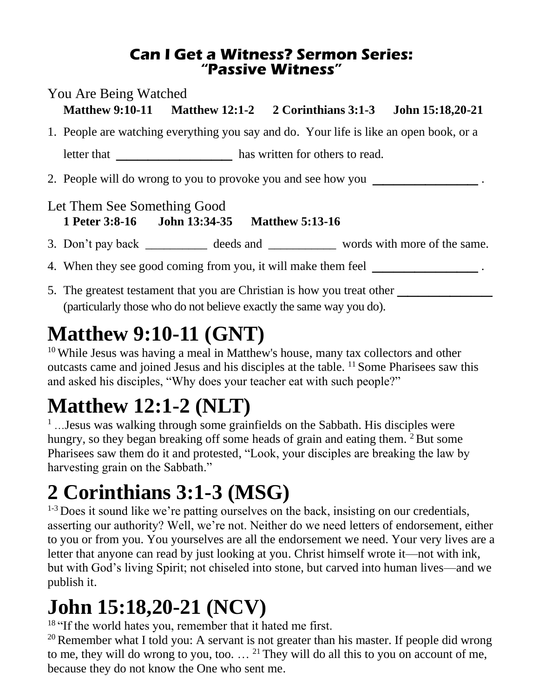## **Can I Get a Witness? Sermon Series: "Passive Witness"**

You Are Being Watched

**Matthew 9:10-11 Matthew 12:1-2 2 Corinthians 3:1-3 John 15:18,20-21**

- 1. People are watching everything you say and do. Your life is like an open book, or a letter that  $\qquad \qquad$  has written for others to read.
- 2. People will do wrong to you to provoke you and see how you **.**

## Let Them See Something Good

- **1 Peter 3:8-16 John 13:34-35 Matthew 5:13-16**
- 3. Don't pay back deeds and words with more of the same.
- 4. When they see good coming from you, it will make them feel .
- 5. The greatest testament that you are Christian is how you treat other (particularly those who do not believe exactly the same way you do).

# **Matthew 9:10-11 (GNT)**

<sup>10</sup> While Jesus was having a meal in Matthew's house, many tax collectors and other outcasts came and joined Jesus and his disciples at the table. <sup>11</sup> Some Pharisees saw this and asked his disciples, "Why does your teacher eat with such people?"

# **Matthew 12:1-2 (NLT)**

 $1$ ... Jesus was walking through some grainfields on the Sabbath. His disciples were hungry, so they began breaking off some heads of grain and eating them.  $2$  But some Pharisees saw them do it and protested, "Look, your disciples are breaking the law by harvesting grain on the Sabbath."

# **2 Corinthians 3:1-3 (MSG)**

 $1-3$  Does it sound like we're patting ourselves on the back, insisting on our credentials, asserting our authority? Well, we're not. Neither do we need letters of endorsement, either to you or from you. You yourselves are all the endorsement we need. Your very lives are a letter that anyone can read by just looking at you. Christ himself wrote it—not with ink, but with God's living Spirit; not chiseled into stone, but carved into human lives—and we publish it.

# **John 15:18,20-21 (NCV)**

<sup>18</sup> "If the world hates you, remember that it hated me first.

<sup>20</sup> Remember what I told you: A servant is not greater than his master. If people did wrong to me, they will do wrong to you, too.  $\ldots$  <sup>21</sup> They will do all this to you on account of me, because they do not know the One who sent me.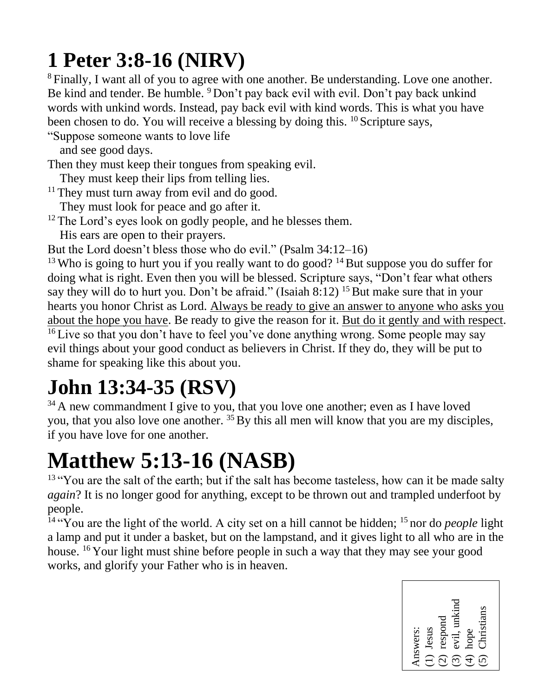# **1 Peter 3:8-16 (NIRV)**

<sup>8</sup> Finally, I want all of you to agree with one another. Be understanding. Love one another. Be kind and tender. Be humble. <sup>9</sup> Don't pay back evil with evil. Don't pay back unkind words with unkind words. Instead, pay back evil with kind words. This is what you have been chosen to do. You will receive a blessing by doing this. <sup>10</sup> Scripture says,

"Suppose someone wants to love life

and see good days.

Then they must keep their tongues from speaking evil.

They must keep their lips from telling lies.

 $11$  They must turn away from evil and do good.

They must look for peace and go after it.

<sup>12</sup> The Lord's eyes look on godly people, and he blesses them.

His ears are open to their prayers.

But the Lord doesn't bless those who do evil." (Psalm 34:12–16)

 $13$  Who is going to hurt you if you really want to do good?  $14$  But suppose you do suffer for doing what is right. Even then you will be blessed. Scripture says, "Don't fear what others say they will do to hurt you. Don't be afraid." (Isaiah  $8:12$ ) <sup>15</sup> But make sure that in your hearts you honor Christ as Lord. Always be ready to give an answer to anyone who asks you about the hope you have. Be ready to give the reason for it. But do it gently and with respect.

<sup>16</sup> Live so that you don't have to feel you've done anything wrong. Some people may say evil things about your good conduct as believers in Christ. If they do, they will be put to shame for speaking like this about you.

# **John 13:34-35 (RSV)**

 $34$  A new commandment I give to you, that you love one another; even as I have loved you, that you also love one another. <sup>35</sup> By this all men will know that you are my disciples, if you have love for one another.

# **Matthew 5:13-16 (NASB)**

<sup>13</sup> "You are the salt of the earth; but if the salt has become tasteless, how can it be made salty *again*? It is no longer good for anything, except to be thrown out and trampled underfoot by people.

<sup>14</sup> "You are the light of the world. A city set on a hill cannot be hidden; <sup>15</sup> nor do *people* light a lamp and put it under a basket, but on the lampstand, and it gives light to all who are in the house. <sup>16</sup> Your light must shine before people in such a way that they may see your good works, and glorify your Father who is in heaven.

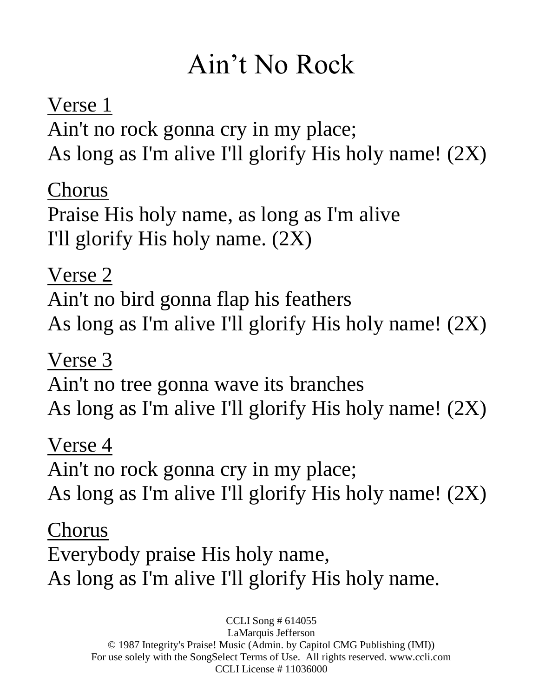# Ain't No Rock

Verse 1 Ain't no rock gonna cry in my place; As long as I'm alive I'll glorify His holy name! (2X)

**Chorus** Praise His holy name, as long as I'm alive I'll glorify His holy name. (2X)

Verse 2 Ain't no bird gonna flap his feathers As long as I'm alive I'll glorify His holy name! (2X)

Verse 3 Ain't no tree gonna wave its branches As long as I'm alive I'll glorify His holy name! (2X)

Verse 4 Ain't no rock gonna cry in my place; As long as I'm alive I'll glorify His holy name! (2X)

Chorus Everybody praise His holy name, As long as I'm alive I'll glorify His holy name.

> CCLI Song # 614055 LaMarquis Jefferson © 1987 Integrity's Praise! Music (Admin. by Capitol CMG Publishing (IMI)) For use solely with the SongSelect Terms of Use. All rights reserved. www.ccli.com CCLI License # 11036000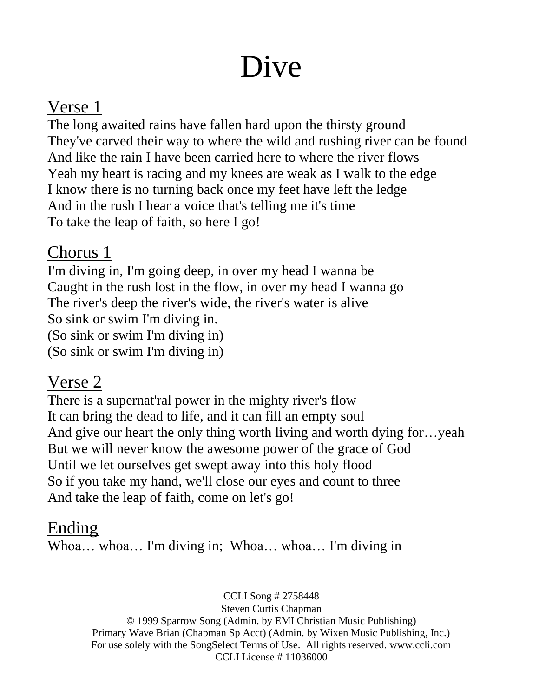# Dive

## Verse 1

The long awaited rains have fallen hard upon the thirsty ground They've carved their way to where the wild and rushing river can be found And like the rain I have been carried here to where the river flows Yeah my heart is racing and my knees are weak as I walk to the edge I know there is no turning back once my feet have left the ledge And in the rush I hear a voice that's telling me it's time To take the leap of faith, so here I go!

## Chorus 1

I'm diving in, I'm going deep, in over my head I wanna be Caught in the rush lost in the flow, in over my head I wanna go The river's deep the river's wide, the river's water is alive So sink or swim I'm diving in. (So sink or swim I'm diving in) (So sink or swim I'm diving in)

## Verse 2

There is a supernat'ral power in the mighty river's flow It can bring the dead to life, and it can fill an empty soul And give our heart the only thing worth living and worth dying for…yeah But we will never know the awesome power of the grace of God Until we let ourselves get swept away into this holy flood So if you take my hand, we'll close our eyes and count to three And take the leap of faith, come on let's go!

## Ending

Whoa… whoa… I'm diving in; Whoa… whoa… I'm diving in

CCLI Song # 2758448 Steven Curtis Chapman © 1999 Sparrow Song (Admin. by EMI Christian Music Publishing) Primary Wave Brian (Chapman Sp Acct) (Admin. by Wixen Music Publishing, Inc.) For use solely with the SongSelect Terms of Use. All rights reserved. www.ccli.com CCLI License # 11036000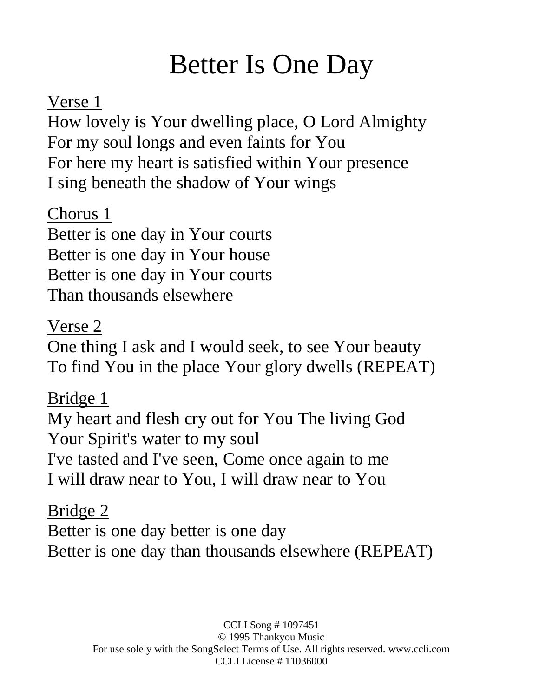# Better Is One Day

Verse 1

How lovely is Your dwelling place, O Lord Almighty For my soul longs and even faints for You For here my heart is satisfied within Your presence I sing beneath the shadow of Your wings

Chorus 1 Better is one day in Your courts Better is one day in Your house Better is one day in Your courts Than thousands elsewhere

Verse 2

One thing I ask and I would seek, to see Your beauty To find You in the place Your glory dwells (REPEAT)

Bridge 1

My heart and flesh cry out for You The living God Your Spirit's water to my soul I've tasted and I've seen, Come once again to me I will draw near to You, I will draw near to You

Bridge 2 Better is one day better is one day Better is one day than thousands elsewhere (REPEAT)